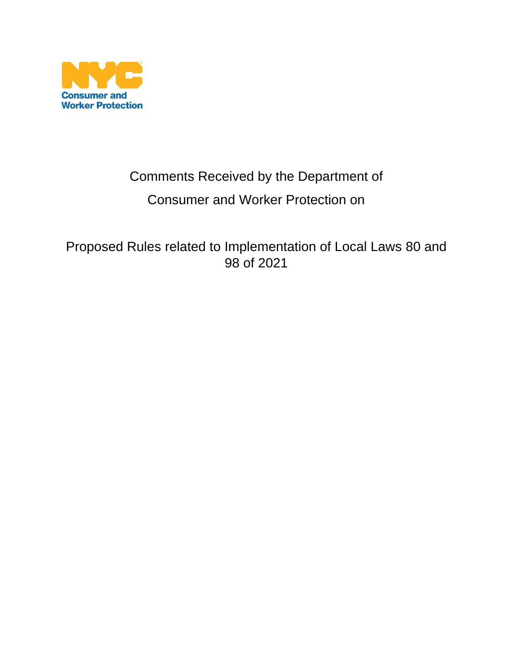

# Comments Received by the Department of Consumer and Worker Protection on

Proposed Rules related to Implementation of Local Laws 80 and 98 of 2021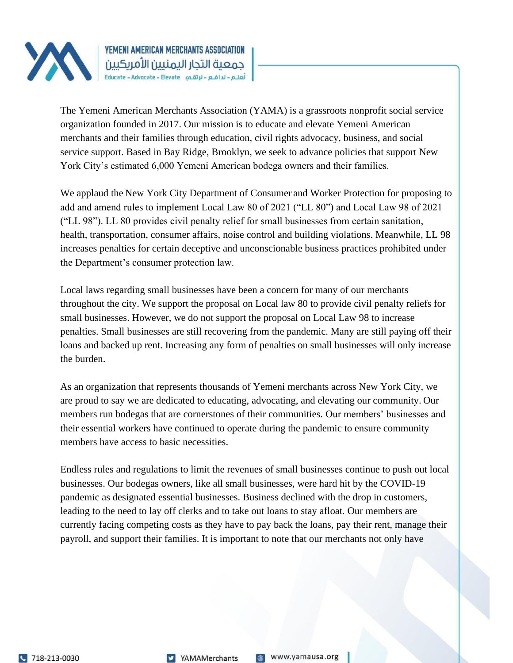

The Yemeni American Merchants Association (YAMA) is a grassroots nonprofit social service organization founded in 2017. Our mission is to educate and elevate Yemeni American merchants and their families through education, civil rights advocacy, business, and social service support. Based in Bay Ridge, Brooklyn, we seek to advance policies that support New York City's estimated 6,000 Yemeni American bodega owners and their families.

We applaud the New York City Department of Consumer and Worker Protection for proposing to add and amend rules to implement Local Law 80 of 2021 ("LL 80") and Local Law 98 of 2021 ("LL 98"). LL 80 provides civil penalty relief for small businesses from certain sanitation, health, transportation, consumer affairs, noise control and building violations. Meanwhile, LL 98 increases penalties for certain deceptive and unconscionable business practices prohibited under the Department's consumer protection law.

Local laws regarding small businesses have been a concern for many of our merchants throughout the city. We support the proposal on Local law 80 to provide civil penalty reliefs for small businesses. However, we do not support the proposal on Local Law 98 to increase penalties. Small businesses are still recovering from the pandemic. Many are still paying off their loans and backed up rent. Increasing any form of penalties on small businesses will only increase the burden.

As an organization that represents thousands of Yemeni merchants across New York City, we are proud to say we are dedicated to educating, advocating, and elevating our community. Our members run bodegas that are cornerstones of their communities. Our members' businesses and their essential workers have continued to operate during the pandemic to ensure community members have access to basic necessities.

Endless rules and regulations to limit the revenues of small businesses continue to push out local businesses. Our bodegas owners, like all small businesses, were hard hit by the COVID-19 pandemic as designated essential businesses. Business declined with the drop in customers, leading to the need to lay off clerks and to take out loans to stay afloat. Our members are currently facing competing costs as they have to pay back the loans, pay their rent, manage their payroll, and support their families. It is important to note that our merchants not only have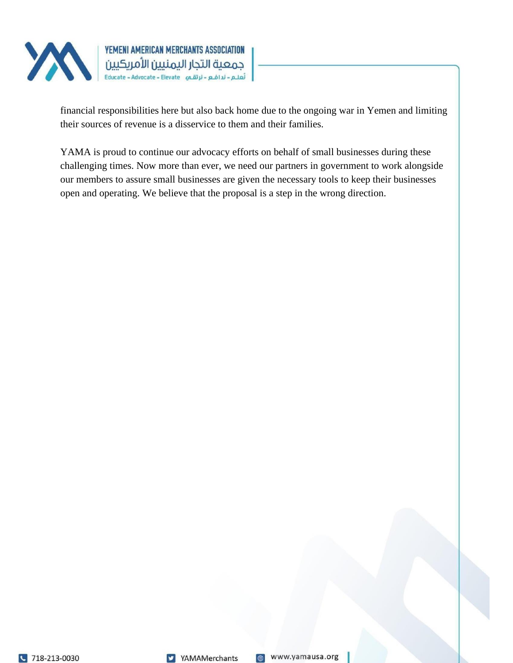

financial responsibilities here but also back home due to the ongoing war in Yemen and limiting their sources of revenue is a disservice to them and their families.

YAMA is proud to continue our advocacy efforts on behalf of small businesses during these challenging times. Now more than ever, we need our partners in government to work alongside our members to assure small businesses are given the necessary tools to keep their businesses open and operating. We believe that the proposal is a step in the wrong direction.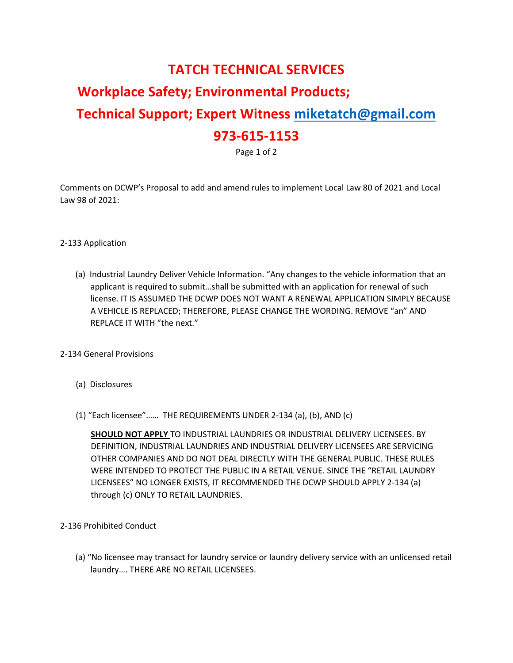### **TATCH TECHNICAL SERVICES**

## **Workplace Safety; Environmental Products; Technical Support; Expert Witness miketatch@gmail.com 973-615-1153**

Page 1 of 2

Comments on DCWP's Proposal to add and amend rules to implement Local Law 80 of 2021 and Local Law 98 of 2021:

### 2-133 Application

(a) Industrial Laundry Deliver Vehicle Information. "Any changes to the vehicle information that an applicant is required to submit…shall be submitted with an application for renewal of such license. IT IS ASSUMED THE DCWP DOES NOT WANT A RENEWAL APPLICATION SIMPLY BECAUSE A VEHICLE IS REPLACED; THEREFORE, PLEASE CHANGE THE WORDING. REMOVE "an" AND REPLACE IT WITH "the next."

#### 2-134 General Provisions

- (a) Disclosures
- (1) "Each licensee"…… THE REQUIREMENTS UNDER 2-134 (a), (b), AND (c)

**SHOULD NOT APPLY** TO INDUSTRIAL LAUNDRIES OR INDUSTRIAL DELIVERY LICENSEES. BY DEFINITION, INDUSTRIAL LAUNDRIES AND INDUSTRIAL DELIVERY LICENSEES ARE SERVICING OTHER COMPANIES AND DO NOT DEAL DIRECTLY WITH THE GENERAL PUBLIC. THESE RULES WERE INTENDED TO PROTECT THE PUBLIC IN A RETAIL VENUE. SINCE THE "RETAIL LAUNDRY LICENSEES" NO LONGER EXISTS, IT RECOMMENDED THE DCWP SHOULD APPLY 2-134 (a) through (c) ONLY TO RETAIL LAUNDRIES.

- 2-136 Prohibited Conduct
	- (a) "No licensee may transact for laundry service or laundry delivery service with an unlicensed retail laundry…. THERE ARE NO RETAIL LICENSEES.